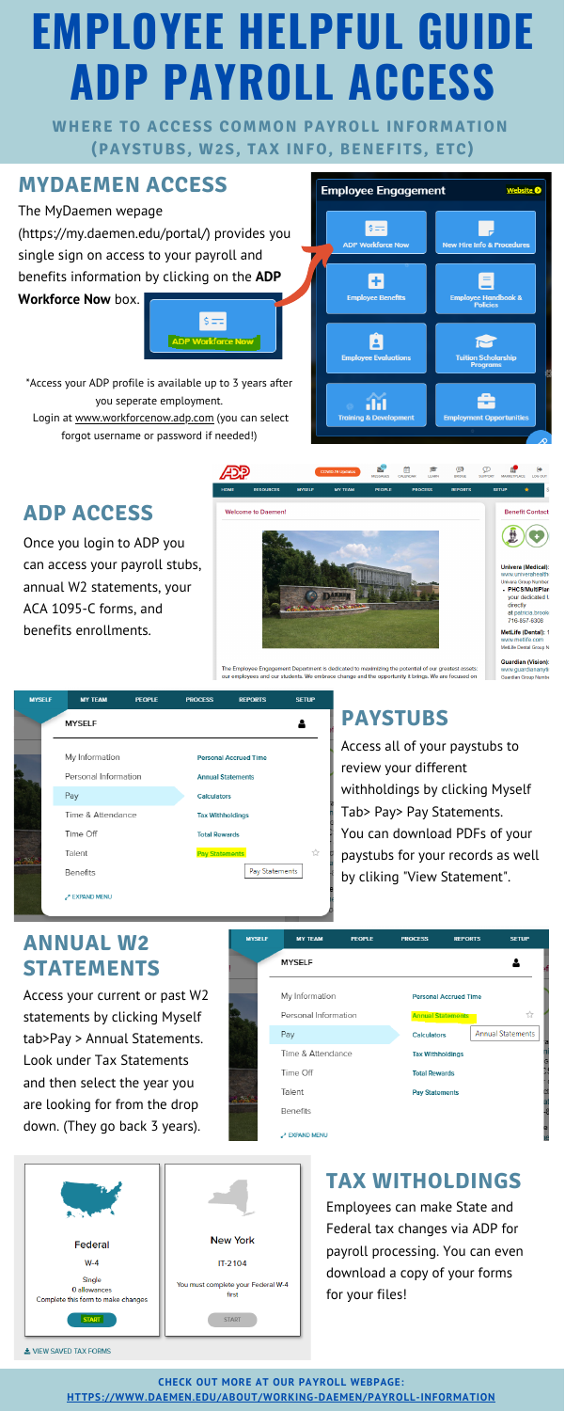# **EMPLOYEE HELPFUL GUIDE ADP PAYROLL ACCESS**

**WHERE TO ACCESS COMMON PAYROLL INFORMATION (PAYSTUBS, W2S, TAX INFO, BENEFITS, ETC)**

### **MYDAEMEN ACCESS**

The MyDaemen wepage (<https://my.daemen.edu/portal/>) provides you single sign on access to your payroll and benefits information by clicking on the **ADP**

**Workforce Now** box.

\*Access your ADP profile is available up to 3 years after you seperate employment.

Login at [www.workforcenow.adp.com](http://www.workforcenow.adp.com/) (you can select forgot username or password if needed!)





The Employee Engagement Department is dedicated to maximizing the potential of our greatest assets: our employees and our students. We embrace change and the opportunity it brings. We are focused on

☆

Pay Statements

**Guardian (Vision):** www.guardiananytir Guardian Group Numbe



**Pay Statements** 

**CHECK OUT MORE AT OUR PAYROLL WEBPAGE: [HTTPS://WWW.DAEMEN.EDU/ABOUT/WORKING-DAEMEN/PAYROLL-INFORMATION](https://www.daemen.edu/about/working-daemen/payroll-information)**

Access all of your paystubs to review your different withholdings by clicking Myself Tab> Pay> Pay Statements. You can download PDFs of your

Talent Benefits **EXPAND MENU** 

#### paystubs for your records as well by cliking "View Statement".

Access your current or past W2 statements by clicking Myself tab>Pay > Annual Statements. Look under Tax Statements and then select the year you are looking for from the drop down. (They go back 3 years).

| <b>MYSELF</b> | <b>MY TEAM</b>       | <b>PEOPLE</b> | <b>PROCESS</b>        | <b>REPORTS</b>               | <b>SETUP</b>             |
|---------------|----------------------|---------------|-----------------------|------------------------------|--------------------------|
|               | <b>MYSELF</b>        |               |                       |                              |                          |
|               | My Information       |               |                       | <b>Personal Accrued Time</b> |                          |
|               | Personal Information |               |                       | <b>Annual Statements</b>     | ☆                        |
|               | Pay                  |               | <b>Calculators</b>    |                              | <b>Annual Statements</b> |
|               | Time & Attendance    |               |                       | <b>Tax Withholdings</b>      |                          |
|               | Time Off             |               | <b>Total Rewards</b>  |                              |                          |
|               | Talent               |               | <b>Pay Statements</b> |                              |                          |
|               | Benefits             |               |                       |                              |                          |
|               | <b>A EXPAND MENU</b> |               |                       |                              |                          |



Employees can make State and Federal tax changes via ADP for payroll processing. You can even download a copy of your forms for your files!

Once you login to ADP you

can access your payroll stubs,

annual W2 statements, your

ACA 1095-C forms, and

benefits enrollments.



**ADP ACCESS**

## **PAYSTUBS**

#### **ANNUAL W2 STATEMENTS**

#### **TAX WITHOLDINGS**